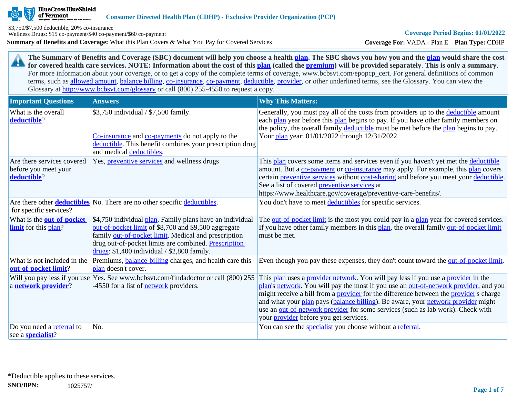

of Vermont

**Summary of Benefits and Coverage:** What this Plan Covers & What You Pay for Covered Services \$3,750/\$7,500 deductible, 20% co-insurance Wellness Drugs: \$15 co-payment/\$40 co-payment/\$60 co-payment

**Coverage For:** VADA - Plan E **Plan Type:** CDHP

**The Summary of Benefits and Coverage (SBC) document will help you choose a health [plan](https://www.healthcare.gov/sbc-glossary/#plan). The SBC shows you how you and the [plan](https://www.healthcare.gov/sbc-glossary/#plan) would share the cost**  29 **for covered health care services. NOTE: Information about the cost of this [plan](https://www.healthcare.gov/sbc-glossary/#plan) (called the [premium](https://www.healthcare.gov/sbc-glossary/#premium)) will be provided separately**. **This is only a summary**. For more information about your coverage, or to get a copy of the complete terms of coverage, www.bcbsvt.com/epopcp\_cert. For general definitions of common terms, such as [allowed amount](https://www.healthcare.gov/sbc-glossary/#allowed-amount), [balance billing,](https://www.healthcare.gov/sbc-glossary/#balance-billing) [co-insurance,](https://www.healthcare.gov/sbc-glossary/#coinsurance) [co-payment,](https://www.healthcare.gov/sbc-glossary/#copayment) [deductible](https://www.healthcare.gov/sbc-glossary/#deductible), [provider,](https://www.healthcare.gov/sbc-glossary/#provider) or other underlined terms, see the Glossary. You can view the Glossary at <http://www.bcbsvt.com/glossary>or call (800) 255-4550 to request a copy.

| <b>Important Questions</b>                                        | <b>Answers</b>                                                                                                                                                                                                                                                                    | <b>Why This Matters:</b>                                                                                                                                                                                                                                                                                                                                                                                                                                                                                  |
|-------------------------------------------------------------------|-----------------------------------------------------------------------------------------------------------------------------------------------------------------------------------------------------------------------------------------------------------------------------------|-----------------------------------------------------------------------------------------------------------------------------------------------------------------------------------------------------------------------------------------------------------------------------------------------------------------------------------------------------------------------------------------------------------------------------------------------------------------------------------------------------------|
| What is the overall<br>deductible?                                | \$3,750 individual / \$7,500 family.<br>Co-insurance and co-payments do not apply to the<br>deductible. This benefit combines your prescription drug<br>and medical deductibles.                                                                                                  | Generally, you must pay all of the costs from providers up to the deductible amount<br>each plan year before this plan begins to pay. If you have other family members on<br>the policy, the overall family deductible must be met before the plan begins to pay.<br>Your plan year: 01/01/2022 through 12/31/2022.                                                                                                                                                                                       |
| Are there services covered<br>before you meet your<br>deductible? | Yes, <i>preventive services</i> and wellness drugs                                                                                                                                                                                                                                | This plan covers some items and services even if you haven't yet met the deductible<br>amount. But a co-payment or co-insurance may apply. For example, this plan covers<br>certain preventive services without cost-sharing and before you meet your deductible.<br>See a list of covered preventive services at<br>https://www.healthcare.gov/coverage/preventive-care-benefits/.                                                                                                                       |
| for specific services?                                            | Are there other <b>deductibles</b> No. There are no other specific deductibles.                                                                                                                                                                                                   | You don't have to meet deductibles for specific services.                                                                                                                                                                                                                                                                                                                                                                                                                                                 |
| What is the <b>out-of-pocket</b><br><b>limit</b> for this plan?   | \$4,750 individual plan. Family plans have an individual<br>out-of-pocket limit of \$8,700 and \$9,500 aggregate<br>family out-of-pocket limit. Medical and prescription<br>drug out-of-pocket limits are combined. Prescription<br>drugs: $$1,400$ individual / $$2,800$ family. | The out-of-pocket limit is the most you could pay in a plan year for covered services.<br>If you have other family members in this plan, the overall family out-of-pocket limit<br>must be met.                                                                                                                                                                                                                                                                                                           |
| What is not included in the<br>out-of-pocket limit?               | Premiums, <b>balance-billing</b> charges, and health care this<br>plan doesn't cover.                                                                                                                                                                                             | Even though you pay these expenses, they don't count toward the out-of-pocket limit.                                                                                                                                                                                                                                                                                                                                                                                                                      |
| Will you pay less if you use<br>a network provider?               | Yes. See www.bcbsvt.com/findadoctor or call (800) 255<br>-4550 for a list of <b>network</b> providers.                                                                                                                                                                            | This plan uses a provider network. You will pay less if you use a provider in the<br>plan's network. You will pay the most if you use an out-of-network provider, and you<br>might receive a bill from a <b>provider</b> for the difference between the <b>provider</b> 's charge<br>and what your plan pays (balance billing). Be aware, your network provider might<br>use an out-of-network provider for some services (such as lab work). Check with<br>your <i>provider</i> before you get services. |
| Do you need a referral to<br>see a <b>specialist</b> ?            | No.                                                                                                                                                                                                                                                                               | You can see the <i>specialist</i> you choose without a referral.                                                                                                                                                                                                                                                                                                                                                                                                                                          |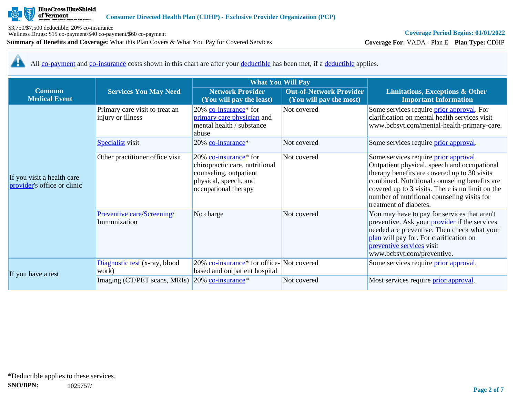

Wellness Drugs: \$15 co-payment/\$40 co-payment/\$60 co-payment

**Summary of Benefits and Coverage:** What this Plan Covers & What You Pay for Covered Services

## **Coverage Period Begins: 01/01/2022**

**Coverage For:** VADA - Plan E **Plan Type:** CDHP

All [co-payment](https://www.healthcare.gov/sbc-glossary/#copayment) and [co-insurance](https://www.healthcare.gov/sbc-glossary/#coinsurance) costs shown in this chart are after your [deductible](https://www.healthcare.gov/sbc-glossary/#deductible) has been met, if a [deductible](https://www.healthcare.gov/sbc-glossary/#deductible) applies. <u>44</u>

|                                                           |                                                     | <b>What You Will Pay</b>                                                                                                                       |                                                           |                                                                                                                                                                                                                                                                                                                     |
|-----------------------------------------------------------|-----------------------------------------------------|------------------------------------------------------------------------------------------------------------------------------------------------|-----------------------------------------------------------|---------------------------------------------------------------------------------------------------------------------------------------------------------------------------------------------------------------------------------------------------------------------------------------------------------------------|
| <b>Common</b><br><b>Medical Event</b>                     | <b>Services You May Need</b>                        | <b>Network Provider</b><br>(You will pay the least)                                                                                            | <b>Out-of-Network Provider</b><br>(You will pay the most) | <b>Limitations, Exceptions &amp; Other</b><br><b>Important Information</b>                                                                                                                                                                                                                                          |
|                                                           | Primary care visit to treat an<br>injury or illness | 20% co-insurance <sup>*</sup> for<br>primary care physician and<br>mental health / substance<br>abuse                                          | Not covered                                               | Some services require <i>prior approval</i> . For<br>clarification on mental health services visit<br>www.bcbsvt.com/mental-health-primary-care.                                                                                                                                                                    |
|                                                           | <b>Specialist</b> visit                             | 20% co-insurance*                                                                                                                              | Not covered                                               | Some services require prior approval.                                                                                                                                                                                                                                                                               |
| If you visit a health care<br>provider's office or clinic | Other practitioner office visit                     | 20% co-insurance <sup>*</sup> for<br>chiropractic care, nutritional<br>counseling, outpatient<br>physical, speech, and<br>occupational therapy | Not covered                                               | Some services require prior approval.<br>Outpatient physical, speech and occupational<br>therapy benefits are covered up to 30 visits<br>combined. Nutritional counseling benefits are<br>covered up to 3 visits. There is no limit on the<br>number of nutritional counseling visits for<br>treatment of diabetes. |
|                                                           | Preventive care/Screening/<br>Immunization          | No charge                                                                                                                                      | Not covered                                               | You may have to pay for services that aren't<br>preventive. Ask your <i>provider</i> if the services<br>needed are preventive. Then check what your<br>plan will pay for. For clarification on<br>preventive services visit<br>www.bcbsvt.com/preventive.                                                           |
|                                                           | Diagnostic test (x-ray, blood<br>work)              | 20% co-insurance <sup>*</sup> for office-Not covered<br>based and outpatient hospital                                                          |                                                           | Some services require prior approval.                                                                                                                                                                                                                                                                               |
| If you have a test                                        | Imaging (CT/PET scans, MRIs)                        | 20% co-insurance*                                                                                                                              | Not covered                                               | Most services require <i>prior approval</i> .                                                                                                                                                                                                                                                                       |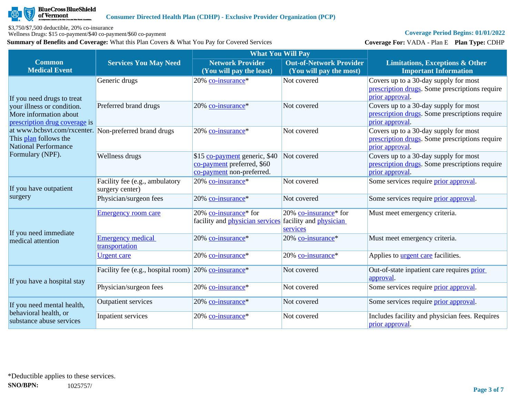

Wellness Drugs: \$15 co-payment/\$40 co-payment/\$60 co-payment

**Summary of Benefits and Coverage:** What this Plan Covers & What You Pay for Covered Services

### **Coverage Period Begins: 01/01/2022**

**Coverage For:** VADA - Plan E **Plan Type:** CDHP

|                                                                                                               |                                                                     | <b>What You Will Pay</b>                                                                 |                                                                    |                                                                                                            |  |
|---------------------------------------------------------------------------------------------------------------|---------------------------------------------------------------------|------------------------------------------------------------------------------------------|--------------------------------------------------------------------|------------------------------------------------------------------------------------------------------------|--|
| <b>Common</b><br><b>Medical Event</b>                                                                         | <b>Services You May Need</b>                                        | <b>Network Provider</b><br>(You will pay the least)                                      | <b>Out-of-Network Provider</b><br>(You will pay the most)          | <b>Limitations, Exceptions &amp; Other</b><br><b>Important Information</b>                                 |  |
| If you need drugs to treat                                                                                    | Generic drugs                                                       | 20% co-insurance*                                                                        | Not covered                                                        | Covers up to a 30-day supply for most<br>prescription drugs. Some prescriptions require<br>prior approval  |  |
| your illness or condition.<br>More information about<br>prescription drug coverage is                         | Preferred brand drugs                                               | 20% co-insurance*                                                                        | Not covered                                                        | Covers up to a 30-day supply for most<br>prescription drugs. Some prescriptions require<br>prior approval. |  |
| at www.bcbsvt.com/rxcenter. Non-preferred brand drugs<br>This plan follows the<br><b>National Performance</b> |                                                                     | 20% co-insurance*                                                                        | Not covered                                                        | Covers up to a 30-day supply for most<br>prescription drugs. Some prescriptions require<br>prior approval  |  |
| Formulary (NPF).                                                                                              | Wellness drugs                                                      | \$15 co-payment generic, \$40<br>co-payment preferred, \$60<br>co-payment non-preferred. | Not covered                                                        | Covers up to a 30-day supply for most<br>prescription drugs. Some prescriptions require<br>prior approval. |  |
| If you have outpatient                                                                                        | Facility fee (e.g., ambulatory<br>surgery center)                   | 20% co-insurance*                                                                        | Not covered                                                        | Some services require <i>prior</i> approval.                                                               |  |
| surgery                                                                                                       | Physician/surgeon fees                                              | 20% co-insurance*                                                                        | Not covered                                                        | Some services require prior approval.                                                                      |  |
| If you need immediate                                                                                         | <b>Emergency room care</b>                                          | 20% co-insurance* for<br>facility and <i>physician</i> services                          | 20% co-insurance* for<br>facility and <i>physician</i><br>services | Must meet emergency criteria.                                                                              |  |
| medical attention                                                                                             | <b>Emergency medical</b><br>transportation                          | 20% co-insurance*                                                                        | 20% co-insurance*                                                  | Must meet emergency criteria.                                                                              |  |
|                                                                                                               | <b>Urgent</b> care                                                  | 20% co-insurance*                                                                        | 20% co-insurance*                                                  | Applies to <b>urgent care</b> facilities.                                                                  |  |
| If you have a hospital stay                                                                                   | Facility fee (e.g., hospital room) $20\%$ co-insurance <sup>*</sup> |                                                                                          | Not covered                                                        | Out-of-state inpatient care requires prior<br>approval.                                                    |  |
|                                                                                                               | Physician/surgeon fees                                              | 20% co-insurance*                                                                        | Not covered                                                        | Some services require prior approval.                                                                      |  |
| If you need mental health,                                                                                    | <b>Outpatient services</b>                                          | 20% co-insurance*                                                                        | Not covered                                                        | Some services require <i>prior approval</i> .                                                              |  |
| behavioral health, or<br>substance abuse services                                                             | Inpatient services                                                  | 20% co-insurance*                                                                        | Not covered                                                        | Includes facility and physician fees. Requires<br>prior approval.                                          |  |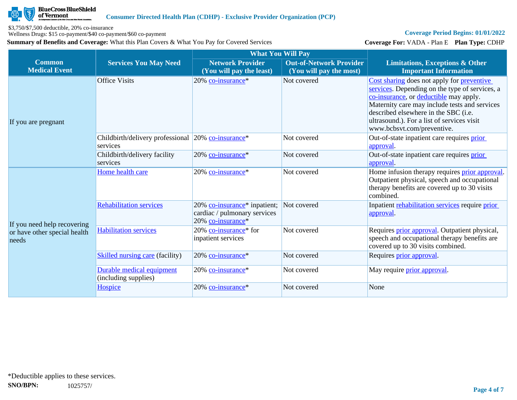

Wellness Drugs: \$15 co-payment/\$40 co-payment/\$60 co-payment

**Summary of Benefits and Coverage:** What this Plan Covers & What You Pay for Covered Services

### **Coverage Period Begins: 01/01/2022**

**Coverage For:** VADA - Plan E **Plan Type:** CDHP

|                                                                      |                                                                | <b>What You Will Pay</b>                                                                                  |                                                           |                                                                                                                                                                                                                                                                                                                    |
|----------------------------------------------------------------------|----------------------------------------------------------------|-----------------------------------------------------------------------------------------------------------|-----------------------------------------------------------|--------------------------------------------------------------------------------------------------------------------------------------------------------------------------------------------------------------------------------------------------------------------------------------------------------------------|
| <b>Common</b><br><b>Medical Event</b>                                | <b>Services You May Need</b>                                   | <b>Network Provider</b><br>(You will pay the least)                                                       | <b>Out-of-Network Provider</b><br>(You will pay the most) | <b>Limitations, Exceptions &amp; Other</b><br><b>Important Information</b>                                                                                                                                                                                                                                         |
| If you are pregnant                                                  | <b>Office Visits</b>                                           | 20% co-insurance*                                                                                         | Not covered                                               | Cost sharing does not apply for <b>preventive</b><br>services. Depending on the type of services, a<br>co-insurance, or deductible may apply.<br>Maternity care may include tests and services<br>described elsewhere in the SBC (i.e.<br>ultrasound.). For a list of services visit<br>www.bcbsvt.com/preventive. |
|                                                                      | Childbirth/delivery professional 20% co-insurance*<br>services |                                                                                                           | Not covered                                               | Out-of-state inpatient care requires prior<br>approval.                                                                                                                                                                                                                                                            |
|                                                                      | Childbirth/delivery facility<br>services                       | 20% co-insurance*                                                                                         | Not covered                                               | Out-of-state inpatient care requires prior<br>approval.                                                                                                                                                                                                                                                            |
|                                                                      | Home health care                                               | 20% co-insurance*                                                                                         | Not covered                                               | Home infusion therapy requires prior approval.<br>Outpatient physical, speech and occupational<br>therapy benefits are covered up to 30 visits<br>combined.                                                                                                                                                        |
| If you need help recovering<br>or have other special health<br>needs | <b>Rehabilitation services</b>                                 | 20% co-insurance <sup>*</sup> inpatient; Not covered<br>cardiac / pulmonary services<br>20% co-insurance* |                                                           | Inpatient rehabilitation services require prior<br>approval.                                                                                                                                                                                                                                                       |
|                                                                      | <b>Habilitation services</b>                                   | 20% co-insurance* for<br>inpatient services                                                               | Not covered                                               | Requires <i>prior approval</i> . Outpatient physical,<br>speech and occupational therapy benefits are<br>covered up to 30 visits combined.                                                                                                                                                                         |
|                                                                      | <b>Skilled nursing care (facility)</b>                         | 20% co-insurance*                                                                                         | Not covered                                               | Requires prior approval.                                                                                                                                                                                                                                                                                           |
|                                                                      | Durable medical equipment<br>(including supplies)              | 20% co-insurance*                                                                                         | Not covered                                               | May require <i>prior approval</i> .                                                                                                                                                                                                                                                                                |
|                                                                      | <b>Hospice</b>                                                 | 20% co-insurance*                                                                                         | Not covered                                               | None                                                                                                                                                                                                                                                                                                               |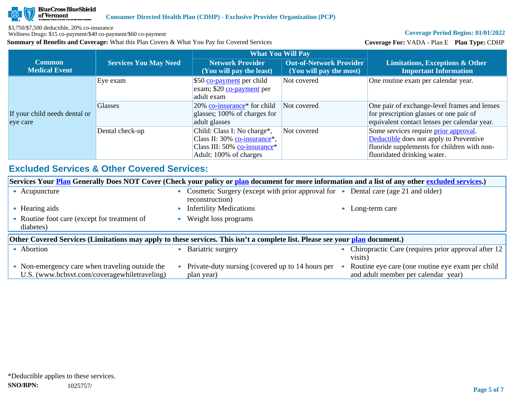

Wellness Drugs: \$15 co-payment/\$40 co-payment/\$60 co-payment

**Summary of Benefits and Coverage:** What this Plan Covers & What You Pay for Covered Services

### **Coverage Period Begins: 01/01/2022**

**Coverage For:** VADA - Plan E **Plan Type:** CDHP

|                                           |                              | <b>What You Will Pay</b>                                                                                              |                                                           |                                                                                                                                                                       |
|-------------------------------------------|------------------------------|-----------------------------------------------------------------------------------------------------------------------|-----------------------------------------------------------|-----------------------------------------------------------------------------------------------------------------------------------------------------------------------|
| Common<br><b>Medical Event</b>            | <b>Services You May Need</b> | <b>Network Provider</b><br>(You will pay the least)                                                                   | <b>Out-of-Network Provider</b><br>(You will pay the most) | Limitations, Exceptions & Other<br><b>Important Information</b>                                                                                                       |
|                                           | Eye exam                     | \$50 co-payment per child<br>exam; \$20 co-payment per<br>adult exam                                                  | Not covered                                               | One routine exam per calendar year.                                                                                                                                   |
| If your child needs dental or<br>eye care | <b>Glasses</b>               | $20\%$ co-insurance <sup>*</sup> for child<br>glasses; 100% of charges for<br>adult glasses                           | Not covered                                               | One pair of exchange-level frames and lenses<br>for prescription glasses or one pair of<br>equivalent contact lenses per calendar year.                               |
|                                           | Dental check-up              | Child: Class I: No charge*,<br>Class II: 30% co-insurance*,<br>Class III: 50% co-insurance*<br>Adult: 100% of charges | Not covered                                               | Some services require <i>prior</i> approval.<br>Deductible does not apply to Preventive<br>fluoride supplements for children with non-<br>fluoridated drinking water. |

## **Excluded Services & Other Covered Services:**

| Services Your <b>Plan</b> Generally Does NOT Cover (Check your policy or plan document for more information and a list of any other excluded services.) |  |                                                                                                      |  |                                                                                         |  |
|---------------------------------------------------------------------------------------------------------------------------------------------------------|--|------------------------------------------------------------------------------------------------------|--|-----------------------------------------------------------------------------------------|--|
| • Acupuncture                                                                                                                                           |  | Cosmetic Surgery (except with prior approval for • Dental care (age 21 and older)<br>reconstruction) |  |                                                                                         |  |
| Hearing aids                                                                                                                                            |  | <b>Infertility Medications</b>                                                                       |  | Long-term care                                                                          |  |
| Routine foot care (except for treatment of<br>diabetes)                                                                                                 |  | Weight loss programs                                                                                 |  |                                                                                         |  |
| Other Covered Services (Limitations may apply to these services. This isn't a complete list. Please see your plan document.)                            |  |                                                                                                      |  |                                                                                         |  |
| • Abortion                                                                                                                                              |  | Bariatric surgery                                                                                    |  | Chiropractic Care (requires prior approval after 12<br>visits)                          |  |
| • Non-emergency care when traveling outside the<br>U.S. (www.bcbsvt.com/coveragewhiletraveling)                                                         |  | Private-duty nursing (covered up to 14 hours per<br>plan year)                                       |  | Routine eye care (one routine eye exam per child<br>and adult member per calendar year) |  |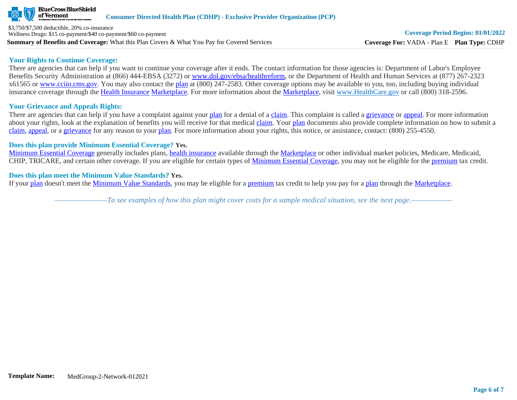

**Summary of Benefits and Coverage:** What this Plan Covers & What You Pay for Covered Services \$3,750/\$7,500 deductible, 20% co-insurance Wellness Drugs: \$15 co-payment/\$40 co-payment/\$60 co-payment

#### **Your Rights to Continue Coverage:**

There are agencies that can help if you want to continue your coverage after it ends. The contact information for those agencies is: Department of Labor's Employee Benefits Security Administration at (866) 444-EBSA (3272) or [www.dol.gov/ebsa/healthreform](http://www.dol.gov/ebsa/healthreform), or the Department of Health and Human Services at (877) 267-2323 x61565 or [www.cciio.cms.gov](http://www.cciio.cms.gov/). You may also contact the [plan](https://www.healthcare.gov/sbc-glossary/#plan) at (800) 247-2583. Other coverage options may be available to you, too, including buying individual insurance coverage through the [Health Insurance](https://www.healthcare.gov/sbc-glossary/#health-insurance) [Marketplace.](https://www.healthcare.gov/sbc-glossary/#marketplace) For more information about the [Marketplace,](https://www.healthcare.gov/sbc-glossary/#marketplace) visit [www.HealthCare.gov](http://www.healthcare.gov/) or call (800) 318-2596.

## **Your Grievance and Appeals Rights:**

There are agencies that can help if you have a complaint against your [plan](https://www.healthcare.gov/sbc-glossary/#plan) for a denial of a [claim.](https://www.healthcare.gov/sbc-glossary/#claim) This complaint is called a [grievance](https://www.healthcare.gov/sbc-glossary/#grievance) or [appeal](https://www.healthcare.gov/sbc-glossary/#appeal). For more information about your rights, look at the explanation of benefits you will receive for that medical [claim](https://www.healthcare.gov/sbc-glossary/#claim). Your [plan](https://www.healthcare.gov/sbc-glossary/#plan) documents also provide complete information on how to submit a [claim](https://www.healthcare.gov/sbc-glossary/#claim), [appeal](https://www.healthcare.gov/sbc-glossary/#appeal), or a [grievance](https://www.healthcare.gov/sbc-glossary/#grievance) for any reason to your [plan.](https://www.healthcare.gov/sbc-glossary/#plan) For more information about your rights, this notice, or assistance, contact: (800) 255-4550.

### **Does this plan provide Minimum Essential Coverage? Yes.**

[Minimum Essential Coverage](https://www.healthcare.gov/sbc-glossary/#minimum-essential-coverage) generally includes plans, [health insurance](https://www.healthcare.gov/sbc-glossary/#health-insurance) available through the [Marketplace](https://www.healthcare.gov/sbc-glossary/#marketplace) or other individual market policies, Medicare, Medicaid, CHIP, TRICARE, and certain other coverage. If you are eligible for certain types of [Minimum Essential Coverage](https://www.healthcare.gov/sbc-glossary/#minimum-essential-coverage), you may not be eligible for the [premium](https://www.healthcare.gov/sbc-glossary/#premium) tax credit.

### **Does this plan meet the Minimum Value Standards? Yes.**

If your [plan](https://www.healthcare.gov/sbc-glossary/#plan) doesn't meet the [Minimum Value Standards](https://www.healthcare.gov/sbc-glossary/#minimum-value-standard), you may be eligible for a [premium](https://www.healthcare.gov/sbc-glossary/#premium) tax credit to help you pay for a [plan](https://www.healthcare.gov/sbc-glossary/#plan) through the [Marketplace](https://www.healthcare.gov/sbc-glossary/#marketplace).

*––––––––––––––To see examples of how this plan might cover costs for a sample medical situation, see the next page.–––––––––––*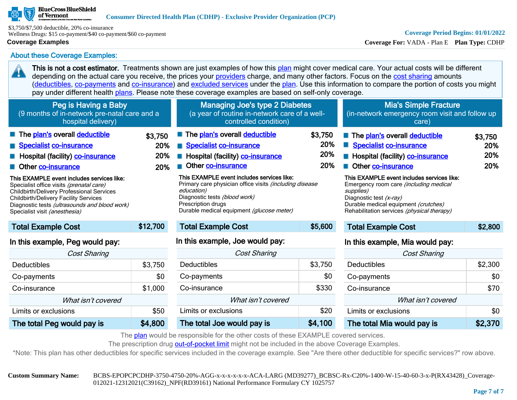#### **BlueCross BlueShield** of Vermont

\$3,750/\$7,500 deductible, 20% co-insurance Wellness Drugs: \$15 co-payment/\$40 co-payment/\$60 co-payment

## **Coverage Examples**

20

## **Coverage Period Begins: 01/01/2022**

**Coverage For:** VADA - Plan E **Plan Type:** CDHP

About these Coverage Examples:

This is not a cost estimator. Treatments shown are just examples of how this [plan](https://www.healthcare.gov/sbc-glossary/#plan) might cover medical care. Your actual costs will be different depending on the actual care you receive, the prices your [providers](https://www.healthcare.gov/sbc-glossary/#provider) charge, and many other factors. Focus on the [cost sharing](https://www.healthcare.gov/sbc-glossary/#cost-sharing) amounts ([deductibles,](https://www.healthcare.gov/sbc-glossary/#deductible) [co-payments](https://www.healthcare.gov/sbc-glossary/#co-payment) and [co-insurance\)](https://www.healthcare.gov/sbc-glossary/#co-insurance) and [excluded services](https://www.healthcare.gov/sbc-glossary/#excluded-services) under the [plan](https://www.healthcare.gov/sbc-glossary/#plan). Use this information to compare the portion of costs you might pay under different health [plans.](https://www.healthcare.gov/sbc-glossary/#plan) Please note these coverage examples are based on self-only coverage.

| Peg is Having a Baby<br>(9 months of in-network pre-natal care and a<br>hospital delivery)                                                                                                                                                                                                                                                                                                                  |                              | <b>Managing Joe's type 2 Diabetes</b><br>(a year of routine in-network care of a well-<br>controlled condition)                                                                                                                                                                                                                                             |                              | <b>Mia's Simple Fracture</b><br>(in-network emergency room visit and follow up<br>care)                                                                                                                                                                                                                                                                |                              |
|-------------------------------------------------------------------------------------------------------------------------------------------------------------------------------------------------------------------------------------------------------------------------------------------------------------------------------------------------------------------------------------------------------------|------------------------------|-------------------------------------------------------------------------------------------------------------------------------------------------------------------------------------------------------------------------------------------------------------------------------------------------------------------------------------------------------------|------------------------------|--------------------------------------------------------------------------------------------------------------------------------------------------------------------------------------------------------------------------------------------------------------------------------------------------------------------------------------------------------|------------------------------|
| The plan's overall deductible<br>Specialist co-insurance<br><b>E</b> Hospital (facility) <b>co-insurance</b><br>Other co-insurance<br>This EXAMPLE event includes services like:<br>Specialist office visits (prenatal care)<br>Childbirth/Delivery Professional Services<br><b>Childbirth/Delivery Facility Services</b><br>Diagnostic tests (ultrasounds and blood work)<br>Specialist visit (anesthesia) | \$3,750<br>20%<br>20%<br>20% | The plan's overall deductible<br><b>Specialist co-insurance</b><br>Hospital (facility) co-insurance<br>Other co-insurance<br>This EXAMPLE event includes services like:<br>Primary care physician office visits <i>(including disease</i><br>education)<br>Diagnostic tests (blood work)<br>Prescription drugs<br>Durable medical equipment (glucose meter) | \$3,750<br>20%<br>20%<br>20% | The plan's overall deductible<br><b>Specialist co-insurance</b><br>Hospital (facility) co-insurance<br>Other co-insurance<br>This EXAMPLE event includes services like:<br>Emergency room care <i>(including medical</i><br>supplies)<br>Diagnostic test (x-ray)<br>Durable medical equipment (crutches)<br>Rehabilitation services (physical therapy) | \$3,750<br>20%<br>20%<br>20% |
| <b>Total Example Cost</b>                                                                                                                                                                                                                                                                                                                                                                                   | \$12,700                     | <b>Total Example Cost</b>                                                                                                                                                                                                                                                                                                                                   | \$5,600                      | <b>Total Example Cost</b>                                                                                                                                                                                                                                                                                                                              | \$2,800                      |
| In this example, Peg would pay:                                                                                                                                                                                                                                                                                                                                                                             |                              | In this example, Joe would pay:                                                                                                                                                                                                                                                                                                                             |                              | In this example, Mia would pay:                                                                                                                                                                                                                                                                                                                        |                              |

| <b>Cost Sharing</b>        |         |  |  |  |
|----------------------------|---------|--|--|--|
| Deductibles                | \$3,750 |  |  |  |
| Co-payments                | \$0     |  |  |  |
| Co-insurance               | \$1,000 |  |  |  |
| What isn't covered         |         |  |  |  |
| Limits or exclusions       | \$50    |  |  |  |
| The total Peg would pay is | \$4,800 |  |  |  |

| <b>Cost Sharing</b>        |         |  |  |  |
|----------------------------|---------|--|--|--|
| Deductibles                | \$3,750 |  |  |  |
| Co-payments                | \$0     |  |  |  |
| Co-insurance               | \$330   |  |  |  |
| What isn't covered         |         |  |  |  |
| Limits or exclusions       | \$20    |  |  |  |
| The total Joe would pay is | \$4,100 |  |  |  |

| <b>IT GITS OXGITIMS, ITIG WOGIG PGy.</b> |         |  |  |  |
|------------------------------------------|---------|--|--|--|
| <b>Cost Sharing</b>                      |         |  |  |  |
| Deductibles                              | \$2,300 |  |  |  |
| Co-payments                              | \$0     |  |  |  |
| Co-insurance                             | \$70    |  |  |  |
| What isn't covered                       |         |  |  |  |
| Limits or exclusions                     | \$0     |  |  |  |
| The total Mia would pay is               | \$2,370 |  |  |  |

The [plan](https://www.healthcare.gov/sbc-glossary/#plan) would be responsible for the other costs of these EXAMPLE covered services.

The prescription drug [out-of-pocket limit](https://www.healthcare.gov/sbc-glossary/#out-of-pocket-limit) might not be included in the above Coverage Examples.

\*Note: This plan has other deductibles for specific services included in the coverage example. See "Are there other deductible for specific services?" row above.

**Custom Summary Name:** BCBS-EPOPCPCDHP-3750-4750-20%-AGG-x-x-x-x-x-x-ACA-LARG (MD39277)\_BCBSC-Rx-C20%-1400-W-15-40-60-3-x-P(RX43428)\_Coverage-012021-12312021(C39162)\_NPF(RD39161) National Performance Formulary CY 1025757